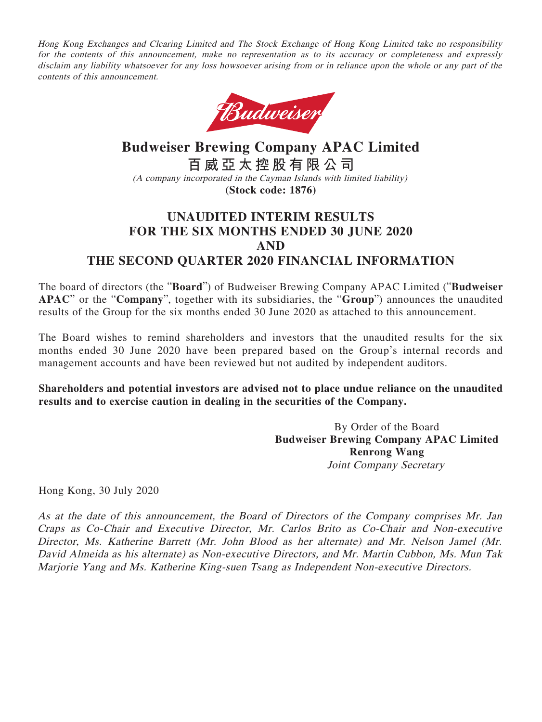Hong Kong Exchanges and Clearing Limited and The Stock Exchange of Hong Kong Limited take no responsibility for the contents of this announcement, make no representation as to its accuracy or completeness and expressly disclaim any liability whatsoever for any loss howsoever arising from or in reliance upon the whole or any part of the contents of this announcement.



**Budweiser Brewing Company APAC Limited 百威亞太控股有限公司** (A company incorporated in the Cayman Islands with limited liability) **(Stock code: 1876)**

## **UNAUDITED INTERIM RESULTS FOR THE SIX MONTHS ENDED 30 JUNE 2020 AND THE SECOND QUARTER 2020 FINANCIAL INFORMATION**

The board of directors (the "**Board**") of Budweiser Brewing Company APAC Limited ("**Budweiser APAC**" or the "**Company**", together with its subsidiaries, the "**Group**") announces the unaudited results of the Group for the six months ended 30 June 2020 as attached to this announcement.

The Board wishes to remind shareholders and investors that the unaudited results for the six months ended 30 June 2020 have been prepared based on the Group's internal records and management accounts and have been reviewed but not audited by independent auditors.

## **Shareholders and potential investors are advised not to place undue reliance on the unaudited results and to exercise caution in dealing in the securities of the Company.**

By Order of the Board **Budweiser Brewing Company APAC Limited Renrong Wang** Joint Company Secretary

Hong Kong, 30 July 2020

As at the date of this announcement, the Board of Directors of the Company comprises Mr. Jan Craps as Co-Chair and Executive Director, Mr. Carlos Brito as Co-Chair and Non-executive Director, Ms. Katherine Barrett (Mr. John Blood as her alternate) and Mr. Nelson Jamel (Mr. David Almeida as his alternate) as Non-executive Directors, and Mr. Martin Cubbon, Ms. Mun Tak Marjorie Yang and Ms. Katherine King-suen Tsang as Independent Non-executive Directors.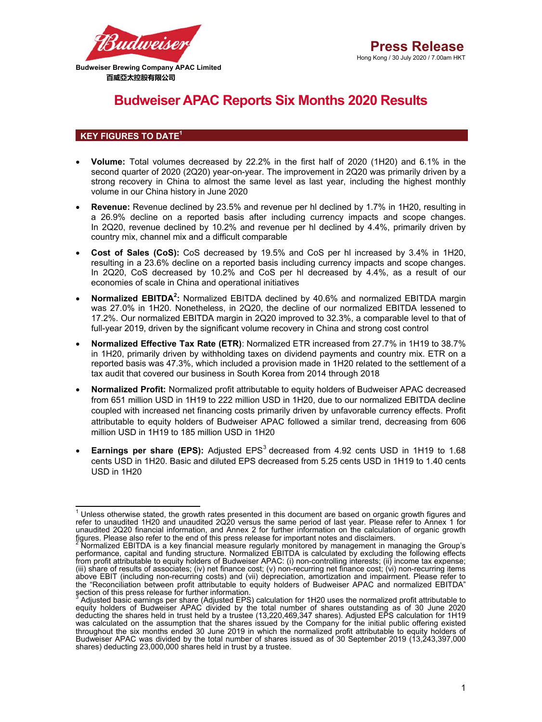

## **Budweiser APAC Reports Six Months 2020 Results**

### **KEY FIGURES TO DATE1**

- **Volume:** Total volumes decreased by 22.2% in the first half of 2020 (1H20) and 6.1% in the second quarter of 2020 (2Q20) year-on-year. The improvement in 2Q20 was primarily driven by a strong recovery in China to almost the same level as last year, including the highest monthly volume in our China history in June 2020
- **Revenue:** Revenue declined by 23.5% and revenue per hl declined by 1.7% in 1H20, resulting in a 26.9% decline on a reported basis after including currency impacts and scope changes. In 2Q20, revenue declined by 10.2% and revenue per hl declined by 4.4%, primarily driven by country mix, channel mix and a difficult comparable
- **Cost of Sales (CoS):** CoS decreased by 19.5% and CoS per hl increased by 3.4% in 1H20, resulting in a 23.6% decline on a reported basis including currency impacts and scope changes. In 2Q20, CoS decreased by 10.2% and CoS per hl decreased by 4.4%, as a result of our economies of scale in China and operational initiatives
- **Normalized EBITDA<sup>2</sup>:** Normalized EBITDA declined by 40.6% and normalized EBITDA margin was 27.0% in 1H20. Nonetheless, in 2Q20, the decline of our normalized EBITDA lessened to 17.2%. Our normalized EBITDA margin in 2Q20 improved to 32.3%, a comparable level to that of full-year 2019, driven by the significant volume recovery in China and strong cost control
- **Normalized Effective Tax Rate (ETR)**: Normalized ETR increased from 27.7% in 1H19 to 38.7% in 1H20, primarily driven by withholding taxes on dividend payments and country mix. ETR on a reported basis was 47.3%, which included a provision made in 1H20 related to the settlement of a tax audit that covered our business in South Korea from 2014 through 2018
- **Normalized Profit:** Normalized profit attributable to equity holders of Budweiser APAC decreased from 651 million USD in 1H19 to 222 million USD in 1H20, due to our normalized EBITDA decline coupled with increased net financing costs primarily driven by unfavorable currency effects. Profit attributable to equity holders of Budweiser APAC followed a similar trend, decreasing from 606 million USD in 1H19 to 185 million USD in 1H20
- Earnings per share (EPS): Adjusted EPS<sup>3</sup> decreased from 4.92 cents USD in 1H19 to 1.68 cents USD in 1H20. Basic and diluted EPS decreased from 5.25 cents USD in 1H19 to 1.40 cents USD in 1H20

 1 Unless otherwise stated, the growth rates presented in this document are based on organic growth figures and refer to unaudited 1H20 and unaudited 2Q20 versus the same period of last year. Please refer to Annex 1 for unaudited 2Q20 financial information, and Annex 2 for further information on the calculation of organic growth figures. Please also refer to the end of this press release for important notes and disclaimers.<br><sup>2</sup> Normalized EBITDA is a key financial measure regularly monitored by management in managing the Group's.

performance, capital and funding structure. Normalized EBITDA is calculated by excluding the following effects from profit attributable to equity holders of Budweiser APAC: (i) non-controlling interests; (ii) income tax expense; (iii) share of results of associates; (iv) net finance cost; (v) non-recurring net finance cost; (vi) non-recurring items above EBIT (including non-recurring costs) and (vii) depreciation, amortization and impairment. Please refer to the "Reconciliation between profit attributable to equity holders of Budweiser APAC and normalized EBITDA"

şection of this press release for further information.<br><sup>3</sup> Adjusted basic earnings per share (Adjusted EPS) calculation for 1H20 uses the normalized profit attributable to equity holders of Budweiser APAC divided by the total number of shares outstanding as of 30 June 2020 deducting the shares held in trust held by a trustee (13,220,469,347 shares). Adjusted EPS calculation for 1H19 was calculated on the assumption that the shares issued by the Company for the initial public offering existed throughout the six months ended 30 June 2019 in which the normalized profit attributable to equity holders of Budweiser APAC was divided by the total number of shares issued as of 30 September 2019 (13,243,397,000 shares) deducting 23,000,000 shares held in trust by a trustee.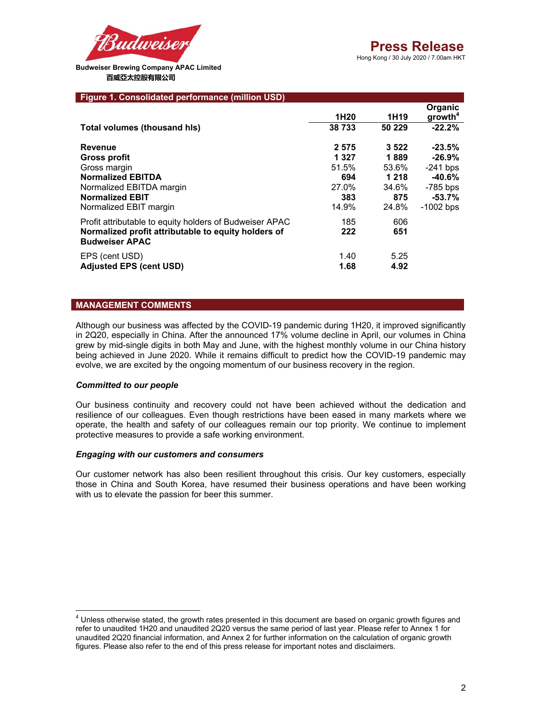

### **Figure 1. Consolidated performance (million USD)**

| <b>THE COLOR SECTION CONTRACTOR</b> (INTERNATION COD)                        |                  |                  |                                |
|------------------------------------------------------------------------------|------------------|------------------|--------------------------------|
|                                                                              | 1H <sub>20</sub> | 1H <sub>19</sub> | Organic<br>growth <sup>4</sup> |
| <b>Total volumes (thousand hls)</b>                                          | 38733            | 50 229           | $-22.2%$                       |
| Revenue                                                                      | 2575             | 3 5 2 2          | $-23.5%$                       |
| <b>Gross profit</b>                                                          | 1 3 2 7          | 1889             | $-26.9%$                       |
| Gross margin                                                                 | 51.5%            | 53.6%            | $-241$ bps                     |
| <b>Normalized EBITDA</b>                                                     | 694              | 1 2 1 8          | $-40.6%$                       |
| Normalized EBITDA margin                                                     | 27.0%            | 34.6%            | $-785$ bps                     |
| <b>Normalized EBIT</b>                                                       | 383              | 875              | $-53.7%$                       |
| Normalized EBIT margin                                                       | 14.9%            | 24.8%            | $-1002$ bps                    |
| Profit attributable to equity holders of Budweiser APAC                      | 185              | 606              |                                |
| Normalized profit attributable to equity holders of<br><b>Budweiser APAC</b> | 222              | 651              |                                |
| EPS (cent USD)                                                               | 1.40             | 5.25             |                                |
| <b>Adjusted EPS (cent USD)</b>                                               | 1.68             | 4.92             |                                |

#### **MANAGEMENT COMMENTS**

Although our business was affected by the COVID-19 pandemic during 1H20, it improved significantly in 2Q20, especially in China. After the announced 17% volume decline in April, our volumes in China grew by mid-single digits in both May and June, with the highest monthly volume in our China history being achieved in June 2020. While it remains difficult to predict how the COVID-19 pandemic may evolve, we are excited by the ongoing momentum of our business recovery in the region.

#### *Committed to our people*

Our business continuity and recovery could not have been achieved without the dedication and resilience of our colleagues. Even though restrictions have been eased in many markets where we operate, the health and safety of our colleagues remain our top priority. We continue to implement protective measures to provide a safe working environment.

#### *Engaging with our customers and consumers*

Our customer network has also been resilient throughout this crisis. Our key customers, especially those in China and South Korea, have resumed their business operations and have been working with us to elevate the passion for beer this summer.

 4 Unless otherwise stated, the growth rates presented in this document are based on organic growth figures and refer to unaudited 1H20 and unaudited 2Q20 versus the same period of last year. Please refer to Annex 1 for unaudited 2Q20 financial information, and Annex 2 for further information on the calculation of organic growth figures. Please also refer to the end of this press release for important notes and disclaimers.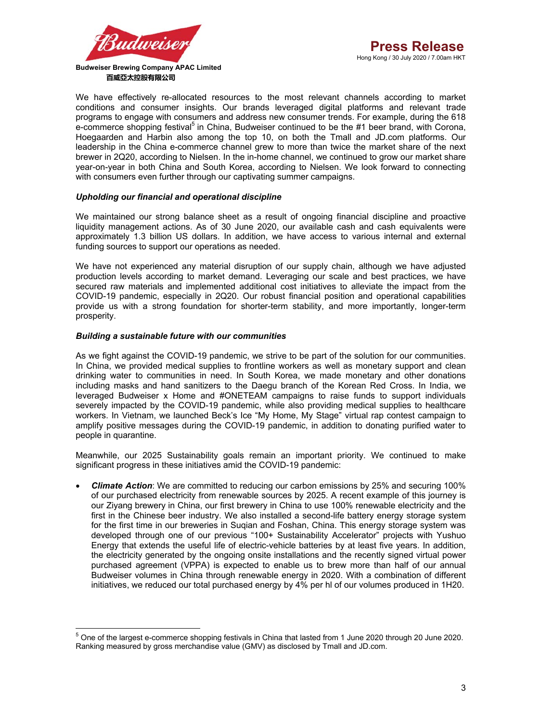

 **百威亞太控股有限公司** 

We have effectively re-allocated resources to the most relevant channels according to market conditions and consumer insights. Our brands leveraged digital platforms and relevant trade programs to engage with consumers and address new consumer trends. For example, during the 618 e-commerce shopping festival<sup>5</sup> in China, Budweiser continued to be the #1 beer brand, with Corona, Hoegaarden and Harbin also among the top 10, on both the Tmall and JD.com platforms. Our leadership in the China e-commerce channel grew to more than twice the market share of the next brewer in 2Q20, according to Nielsen. In the in-home channel, we continued to grow our market share year-on-year in both China and South Korea, according to Nielsen. We look forward to connecting with consumers even further through our captivating summer campaigns.

#### *Upholding our financial and operational discipline*

We maintained our strong balance sheet as a result of ongoing financial discipline and proactive liquidity management actions. As of 30 June 2020, our available cash and cash equivalents were approximately 1.3 billion US dollars. In addition, we have access to various internal and external funding sources to support our operations as needed.

We have not experienced any material disruption of our supply chain, although we have adjusted production levels according to market demand. Leveraging our scale and best practices, we have secured raw materials and implemented additional cost initiatives to alleviate the impact from the COVID-19 pandemic, especially in 2Q20. Our robust financial position and operational capabilities provide us with a strong foundation for shorter-term stability, and more importantly, longer-term prosperity.

#### *Building a sustainable future with our communities*

As we fight against the COVID-19 pandemic, we strive to be part of the solution for our communities. In China, we provided medical supplies to frontline workers as well as monetary support and clean drinking water to communities in need. In South Korea, we made monetary and other donations including masks and hand sanitizers to the Daegu branch of the Korean Red Cross. In India, we leveraged Budweiser x Home and #ONETEAM campaigns to raise funds to support individuals severely impacted by the COVID-19 pandemic, while also providing medical supplies to healthcare workers. In Vietnam, we launched Beck's Ice "My Home, My Stage" virtual rap contest campaign to amplify positive messages during the COVID-19 pandemic, in addition to donating purified water to people in quarantine.

Meanwhile, our 2025 Sustainability goals remain an important priority. We continued to make significant progress in these initiatives amid the COVID-19 pandemic:

 *Climate Action*: We are committed to reducing our carbon emissions by 25% and securing 100% of our purchased electricity from renewable sources by 2025. A recent example of this journey is our Ziyang brewery in China, our first brewery in China to use 100% renewable electricity and the first in the Chinese beer industry. We also installed a second-life battery energy storage system for the first time in our breweries in Suqian and Foshan, China. This energy storage system was developed through one of our previous "100+ Sustainability Accelerator" projects with Yushuo Energy that extends the useful life of electric-vehicle batteries by at least five years. In addition, the electricity generated by the ongoing onsite installations and the recently signed virtual power purchased agreement (VPPA) is expected to enable us to brew more than half of our annual Budweiser volumes in China through renewable energy in 2020. With a combination of different initiatives, we reduced our total purchased energy by 4% per hl of our volumes produced in 1H20.

<sup>-</sup> $^5$  One of the largest e-commerce shopping festivals in China that lasted from 1 June 2020 through 20 June 2020. Ranking measured by gross merchandise value (GMV) as disclosed by Tmall and JD.com.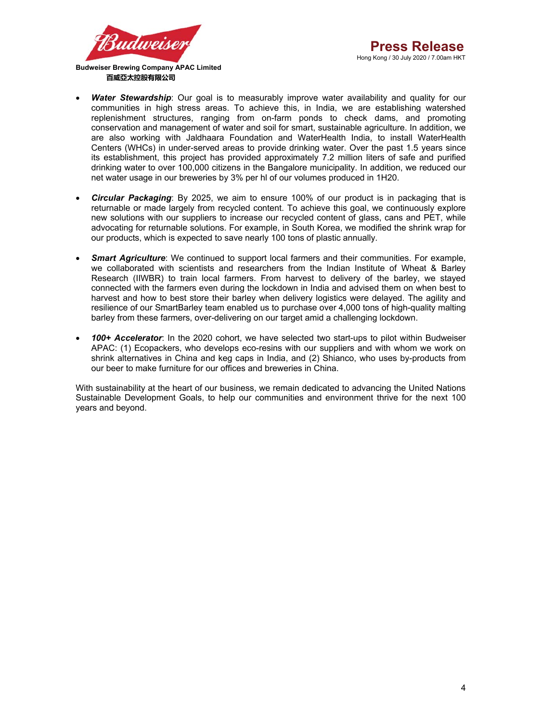

 **Budweiser Brewing Company APAC Limited 百威亞太控股有限公司** 

- **Water Stewardship**: Our goal is to measurably improve water availability and quality for our communities in high stress areas. To achieve this, in India, we are establishing watershed replenishment structures, ranging from on-farm ponds to check dams, and promoting conservation and management of water and soil for smart, sustainable agriculture. In addition, we are also working with Jaldhaara Foundation and WaterHealth India, to install WaterHealth Centers (WHCs) in under-served areas to provide drinking water. Over the past 1.5 years since its establishment, this project has provided approximately 7.2 million liters of safe and purified drinking water to over 100,000 citizens in the Bangalore municipality. In addition, we reduced our net water usage in our breweries by 3% per hl of our volumes produced in 1H20.
- *Circular Packaging*: By 2025, we aim to ensure 100% of our product is in packaging that is returnable or made largely from recycled content. To achieve this goal, we continuously explore new solutions with our suppliers to increase our recycled content of glass, cans and PET, while advocating for returnable solutions. For example, in South Korea, we modified the shrink wrap for our products, which is expected to save nearly 100 tons of plastic annually.
- **Smart Agriculture**: We continued to support local farmers and their communities. For example, we collaborated with scientists and researchers from the Indian Institute of Wheat & Barley Research (IIWBR) to train local farmers. From harvest to delivery of the barley, we stayed connected with the farmers even during the lockdown in India and advised them on when best to harvest and how to best store their barley when delivery logistics were delayed. The agility and resilience of our SmartBarley team enabled us to purchase over 4,000 tons of high-quality malting barley from these farmers, over-delivering on our target amid a challenging lockdown.
- *100+ Accelerator*: In the 2020 cohort, we have selected two start-ups to pilot within Budweiser APAC: (1) Ecopackers, who develops eco-resins with our suppliers and with whom we work on shrink alternatives in China and keg caps in India, and (2) Shianco, who uses by-products from our beer to make furniture for our offices and breweries in China.

With sustainability at the heart of our business, we remain dedicated to advancing the United Nations Sustainable Development Goals, to help our communities and environment thrive for the next 100 years and beyond.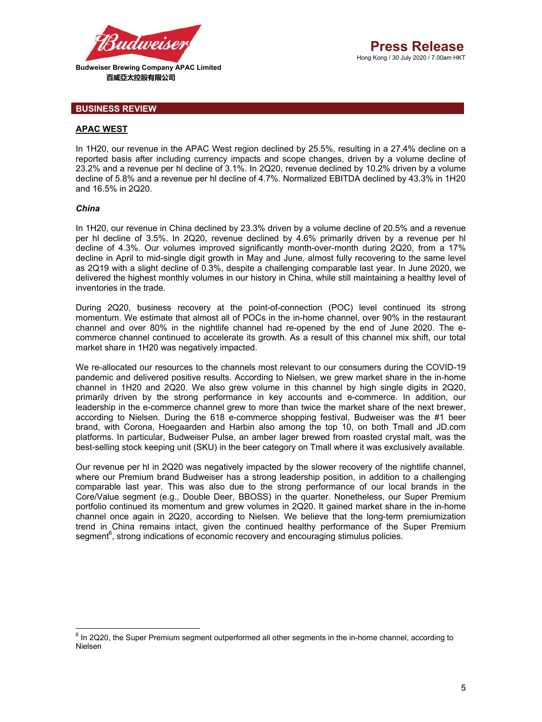

#### **BUSINESS REVIEW**

#### **APAC WEST**

In 1H20, our revenue in the APAC West region declined by 25.5%, resulting in a 27.4% decline on a reported basis after including currency impacts and scope changes, driven by a volume decline of 23.2% and a revenue per hl decline of 3.1%. In 2Q20, revenue declined by 10.2% driven by a volume decline of 5.8% and a revenue per hl decline of 4.7%. Normalized EBITDA declined by 43.3% in 1H20 and 16.5% in 2Q20.

#### *China*

-

In 1H20, our revenue in China declined by 23.3% driven by a volume decline of 20.5% and a revenue per hl decline of 3.5%. In 2Q20, revenue declined by 4.6% primarily driven by a revenue per hl decline of 4.3%. Our volumes improved significantly month-over-month during 2Q20, from a 17% decline in April to mid-single digit growth in May and June, almost fully recovering to the same level as 2Q19 with a slight decline of 0.3%, despite a challenging comparable last year. In June 2020, we delivered the highest monthly volumes in our history in China, while still maintaining a healthy level of inventories in the trade.

During 2Q20, business recovery at the point-of-connection (POC) level continued its strong momentum. We estimate that almost all of POCs in the in-home channel, over 90% in the restaurant channel and over 80% in the nightlife channel had re-opened by the end of June 2020. The ecommerce channel continued to accelerate its growth. As a result of this channel mix shift, our total market share in 1H20 was negatively impacted.

We re-allocated our resources to the channels most relevant to our consumers during the COVID-19 pandemic and delivered positive results. According to Nielsen, we grew market share in the in-home channel in 1H20 and 2Q20. We also grew volume in this channel by high single digits in 2Q20, primarily driven by the strong performance in key accounts and e-commerce. In addition, our leadership in the e-commerce channel grew to more than twice the market share of the next brewer, according to Nielsen. During the 618 e-commerce shopping festival, Budweiser was the #1 beer brand, with Corona, Hoegaarden and Harbin also among the top 10, on both Tmall and JD.com platforms. In particular, Budweiser Pulse, an amber lager brewed from roasted crystal malt, was the best-selling stock keeping unit (SKU) in the beer category on Tmall where it was exclusively available.

Our revenue per hl in 2Q20 was negatively impacted by the slower recovery of the nightlife channel, where our Premium brand Budweiser has a strong leadership position, in addition to a challenging comparable last year. This was also due to the strong performance of our local brands in the Core/Value segment (e.g., Double Deer, BBOSS) in the quarter. Nonetheless, our Super Premium portfolio continued its momentum and grew volumes in 2Q20. It gained market share in the in-home channel once again in 2Q20, according to Nielsen. We believe that the long-term premiumization trend in China remains intact, given the continued healthy performance of the Super Premium segment<sup>6</sup>, strong indications of economic recovery and encouraging stimulus policies.

 $^6$  In 2Q20, the Super Premium segment outperformed all other segments in the in-home channel, according to Nielsen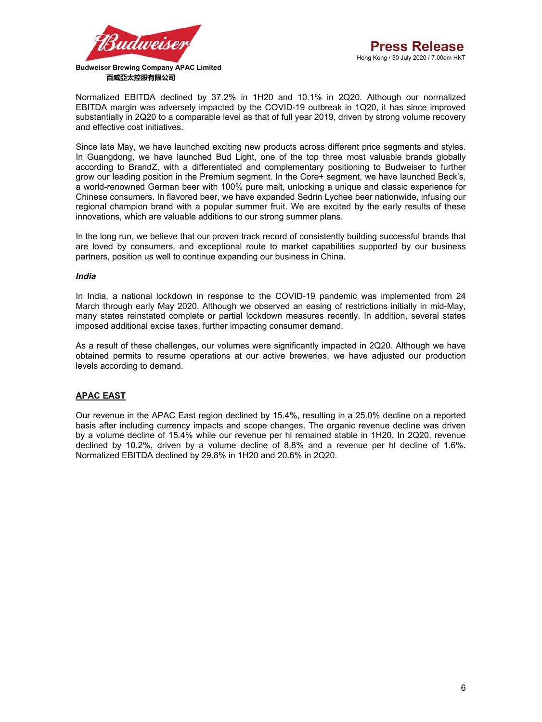

Normalized EBITDA declined by 37.2% in 1H20 and 10.1% in 2Q20. Although our normalized EBITDA margin was adversely impacted by the COVID-19 outbreak in 1Q20, it has since improved substantially in 2Q20 to a comparable level as that of full year 2019, driven by strong volume recovery and effective cost initiatives.

Since late May, we have launched exciting new products across different price segments and styles. In Guangdong, we have launched Bud Light, one of the top three most valuable brands globally according to BrandZ, with a differentiated and complementary positioning to Budweiser to further grow our leading position in the Premium segment. In the Core+ segment, we have launched Beck's, a world-renowned German beer with 100% pure malt, unlocking a unique and classic experience for Chinese consumers. In flavored beer, we have expanded Sedrin Lychee beer nationwide, infusing our regional champion brand with a popular summer fruit. We are excited by the early results of these innovations, which are valuable additions to our strong summer plans.

In the long run, we believe that our proven track record of consistently building successful brands that are loved by consumers, and exceptional route to market capabilities supported by our business partners, position us well to continue expanding our business in China.

#### *India*

In India, a national lockdown in response to the COVID-19 pandemic was implemented from 24 March through early May 2020. Although we observed an easing of restrictions initially in mid-May, many states reinstated complete or partial lockdown measures recently. In addition, several states imposed additional excise taxes, further impacting consumer demand.

As a result of these challenges, our volumes were significantly impacted in 2Q20. Although we have obtained permits to resume operations at our active breweries, we have adjusted our production levels according to demand.

#### **APAC EAST**

Our revenue in the APAC East region declined by 15.4%, resulting in a 25.0% decline on a reported basis after including currency impacts and scope changes. The organic revenue decline was driven by a volume decline of 15.4% while our revenue per hl remained stable in 1H20. In 2Q20, revenue declined by 10.2%, driven by a volume decline of 8.8% and a revenue per hl decline of 1.6%. Normalized EBITDA declined by 29.8% in 1H20 and 20.6% in 2Q20.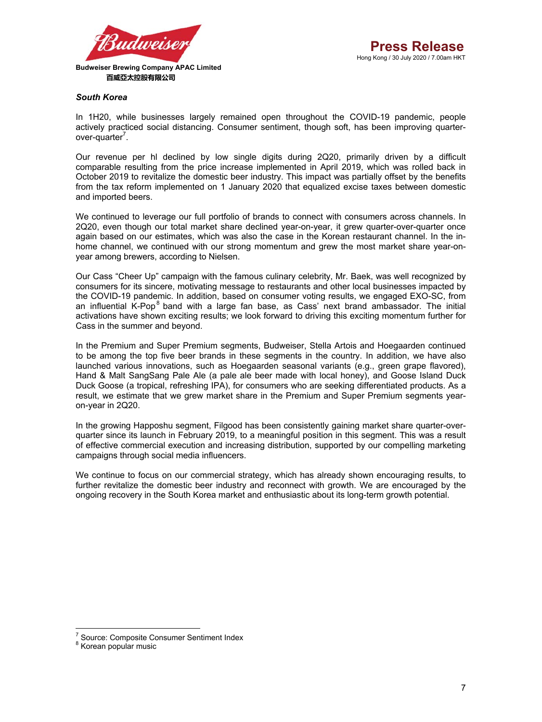

#### *South Korea*

In 1H20, while businesses largely remained open throughout the COVID-19 pandemic, people actively practiced social distancing. Consumer sentiment, though soft, has been improving quarterover-quarter<sup>7</sup>.

Our revenue per hl declined by low single digits during 2Q20, primarily driven by a difficult comparable resulting from the price increase implemented in April 2019, which was rolled back in October 2019 to revitalize the domestic beer industry. This impact was partially offset by the benefits from the tax reform implemented on 1 January 2020 that equalized excise taxes between domestic and imported beers.

We continued to leverage our full portfolio of brands to connect with consumers across channels. In 2Q20, even though our total market share declined year-on-year, it grew quarter-over-quarter once again based on our estimates, which was also the case in the Korean restaurant channel. In the inhome channel, we continued with our strong momentum and grew the most market share year-onyear among brewers, according to Nielsen.

Our Cass "Cheer Up" campaign with the famous culinary celebrity, Mr. Baek, was well recognized by consumers for its sincere, motivating message to restaurants and other local businesses impacted by the COVID-19 pandemic. In addition, based on consumer voting results, we engaged EXO-SC, from an influential K-Pop<sup>8</sup> band with a large fan base, as Cass' next brand ambassador. The initial activations have shown exciting results; we look forward to driving this exciting momentum further for Cass in the summer and beyond.

In the Premium and Super Premium segments, Budweiser, Stella Artois and Hoegaarden continued to be among the top five beer brands in these segments in the country. In addition, we have also launched various innovations, such as Hoegaarden seasonal variants (e.g., green grape flavored), Hand & Malt SangSang Pale Ale (a pale ale beer made with local honey), and Goose Island Duck Duck Goose (a tropical, refreshing IPA), for consumers who are seeking differentiated products. As a result, we estimate that we grew market share in the Premium and Super Premium segments yearon-year in 2Q20.

In the growing Happoshu segment, Filgood has been consistently gaining market share quarter-overquarter since its launch in February 2019, to a meaningful position in this segment. This was a result of effective commercial execution and increasing distribution, supported by our compelling marketing campaigns through social media influencers.

We continue to focus on our commercial strategy, which has already shown encouraging results, to further revitalize the domestic beer industry and reconnect with growth. We are encouraged by the ongoing recovery in the South Korea market and enthusiastic about its long-term growth potential.

<sup>-</sup> $\frac{7}{8}$  Source: Composite Consumer Sentiment Index<br> $\frac{8}{8}$  Kerean popular music

<sup>&</sup>lt;sup>8</sup> Korean popular music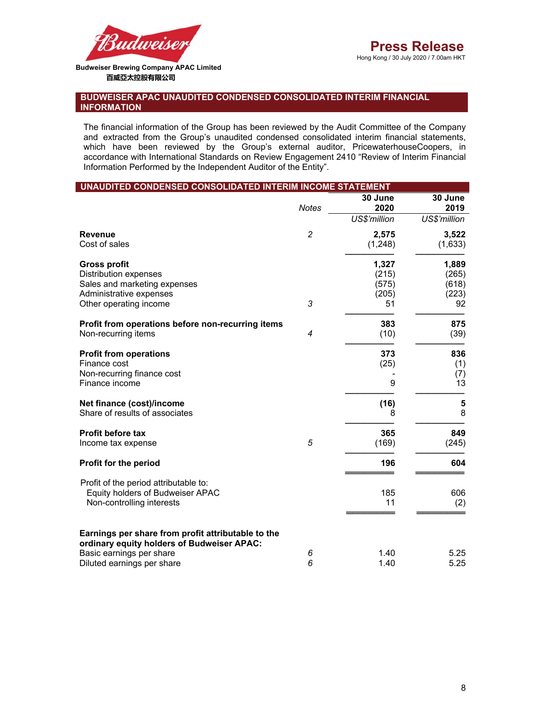

 **Budweiser Brewing Company APAC Limited 百威亞太控股有限公司** 

#### **BUDWEISER APAC UNAUDITED CONDENSED CONSOLIDATED INTERIM FINANCIAL INFORMATION**

The financial information of the Group has been reviewed by the Audit Committee of the Company and extracted from the Group's unaudited condensed consolidated interim financial statements, which have been reviewed by the Group's external auditor, PricewaterhouseCoopers, in accordance with International Standards on Review Engagement 2410 "Review of Interim Financial Information Performed by the Independent Auditor of the Entity".

| UNAUDITED CONDENSED CONSOLIDATED INTERIM INCOME STATEMENT                                                                                |                |                                        |                                        |
|------------------------------------------------------------------------------------------------------------------------------------------|----------------|----------------------------------------|----------------------------------------|
|                                                                                                                                          | <b>Notes</b>   | 30 June<br>2020                        | 30 June<br>2019                        |
|                                                                                                                                          |                | US\$'million                           | US\$'million                           |
| <b>Revenue</b><br>Cost of sales                                                                                                          | $\overline{c}$ | 2,575<br>(1,248)                       | 3,522<br>(1,633)                       |
| <b>Gross profit</b><br><b>Distribution expenses</b><br>Sales and marketing expenses<br>Administrative expenses<br>Other operating income | 3              | 1,327<br>(215)<br>(575)<br>(205)<br>51 | 1,889<br>(265)<br>(618)<br>(223)<br>92 |
| Profit from operations before non-recurring items<br>Non-recurring items                                                                 | $\overline{4}$ | 383<br>(10)                            | 875<br>(39)                            |
| <b>Profit from operations</b><br>Finance cost<br>Non-recurring finance cost<br>Finance income                                            |                | 373<br>(25)<br>9                       | 836<br>(1)<br>(7)<br>13                |
| Net finance (cost)/income<br>Share of results of associates                                                                              |                | (16)<br>8                              | 5<br>8                                 |
| <b>Profit before tax</b><br>Income tax expense                                                                                           | 5              | 365<br>(169)                           | 849<br>(245)                           |
| Profit for the period                                                                                                                    |                | 196                                    | 604                                    |
| Profit of the period attributable to:<br>Equity holders of Budweiser APAC<br>Non-controlling interests                                   |                | 185<br>11                              | 606<br>(2)                             |
| Earnings per share from profit attributable to the<br>ordinary equity holders of Budweiser APAC:                                         |                |                                        |                                        |
| Basic earnings per share<br>Diluted earnings per share                                                                                   | 6<br>6         | 1.40<br>1.40                           | 5.25<br>5.25                           |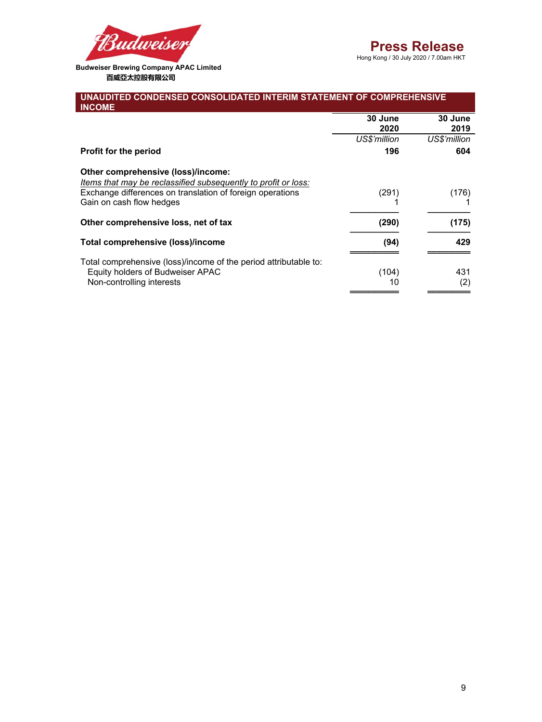

 **Budweiser Brewing Company APAC Limited 百威亞太控股有限公司** 

| UNAUDITED CONDENSED CONSOLIDATED INTERIM STATEMENT OF COMPREHENSIVE<br><b>INCOME</b>                                                                                                          |                 |                 |  |
|-----------------------------------------------------------------------------------------------------------------------------------------------------------------------------------------------|-----------------|-----------------|--|
|                                                                                                                                                                                               | 30 June<br>2020 | 30 June<br>2019 |  |
|                                                                                                                                                                                               | US\$'million    | US\$'million    |  |
| <b>Profit for the period</b>                                                                                                                                                                  | 196             | 604             |  |
| Other comprehensive (loss)/income:<br>Items that may be reclassified subsequently to profit or loss:<br>Exchange differences on translation of foreign operations<br>Gain on cash flow hedges | (291)           | (176)           |  |
| Other comprehensive loss, net of tax                                                                                                                                                          | (290)           | (175)           |  |
| Total comprehensive (loss)/income                                                                                                                                                             | (94)            | 429             |  |
|                                                                                                                                                                                               |                 |                 |  |
| Total comprehensive (loss)/income of the period attributable to:<br>Equity holders of Budweiser APAC<br>Non-controlling interests                                                             | (104)<br>10     | 431<br>(2)      |  |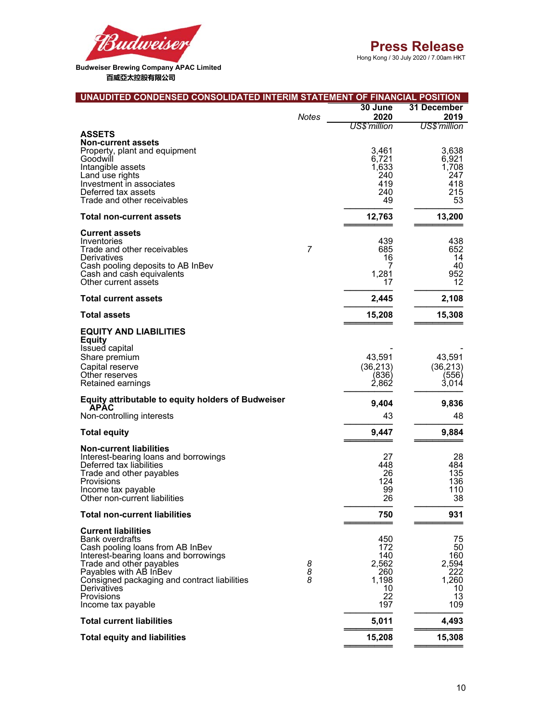

| UNAUDITED CONDENSED CONSOLIDATED INTERIM STATEMENT OF FINANCIAL POSITION                                                                                                                                                                                                                          |              |                                                               |                                                             |
|---------------------------------------------------------------------------------------------------------------------------------------------------------------------------------------------------------------------------------------------------------------------------------------------------|--------------|---------------------------------------------------------------|-------------------------------------------------------------|
|                                                                                                                                                                                                                                                                                                   | <b>Notes</b> | 30 June<br>2020                                               | 31 December<br>2019                                         |
|                                                                                                                                                                                                                                                                                                   |              | US\$'million                                                  | US\$'million                                                |
| ASSETS<br><b>Non-current assets</b><br>Property, plant and equipment<br>Goodwill<br>Intangible assets<br>Land use rights<br>Investment in associates<br>Deferred tax assets<br>Trade and other receivables                                                                                        |              | 3,461<br>6,721<br>1,633<br>240<br>419<br>240<br>49            | 3,638<br>6,921<br>1,708<br>247<br>418<br>215<br>53          |
| <b>Total non-current assets</b>                                                                                                                                                                                                                                                                   |              | 12,763                                                        | 13,200                                                      |
| <b>Current assets</b><br>Inventories<br>Trade and other receivables<br>Derivatives<br>Cash pooling deposits to AB InBev<br>Cash and cash equivalents<br>Other current assets                                                                                                                      | 7            | 439<br>685<br>16<br>7<br>1,281<br>17                          | 438<br>652<br>14<br>40<br>952<br>12                         |
| <b>Total current assets</b>                                                                                                                                                                                                                                                                       |              | 2,445                                                         | 2,108                                                       |
| <b>Total assets</b>                                                                                                                                                                                                                                                                               |              | 15,208                                                        | 15,308                                                      |
| <b>EQUITY AND LIABILITIES</b><br><b>Equity</b><br>Issued capital<br>Share premium<br>Capital reserve<br>Other reserves<br>Retained earnings                                                                                                                                                       |              | 43,591<br>(36, 213)<br>(836)<br>2,862                         | 43,591<br>(36, 213)<br>(556)<br>3,014                       |
| <b>Equity attributable to equity holders of Budweiser</b><br>APAC<br>Non-controlling interests                                                                                                                                                                                                    |              | 9,404<br>43                                                   | 9,836<br>48                                                 |
| <b>Total equity</b>                                                                                                                                                                                                                                                                               |              | 9,447                                                         | 9,884                                                       |
| <b>Non-current liabilities</b><br>Interest-bearing loans and borrowings<br>Deferred tax liabilities<br>Trade and other payables<br>Provisions<br>Income tax payable<br>Other non-current liabilities                                                                                              |              | 27<br>448<br>26<br>124<br>99<br>26                            | 28<br>484<br>135<br>136<br>110<br>38                        |
| <b>Total non-current liabilities</b>                                                                                                                                                                                                                                                              |              | 750                                                           | 931                                                         |
| <b>Current liabilities</b><br><b>Bank overdrafts</b><br>Cash pooling loans from AB InBev<br>Interest-bearing loans and borrowings<br>Trade and other payables<br>Payables with AB InBev<br>Consigned packaging and contract liabilities<br>Derivatives<br><b>Provisions</b><br>Income tax payable | 8<br>8<br>8  | 450<br>172<br>140<br>2,562<br>260<br>1,198<br>10<br>22<br>197 | 75<br>50<br>160<br>2,594<br>222<br>1,260<br>10<br>13<br>109 |
| <b>Total current liabilities</b>                                                                                                                                                                                                                                                                  |              | 5,011                                                         | 4,493                                                       |
| <b>Total equity and liabilities</b>                                                                                                                                                                                                                                                               |              | 15,208                                                        | 15,308                                                      |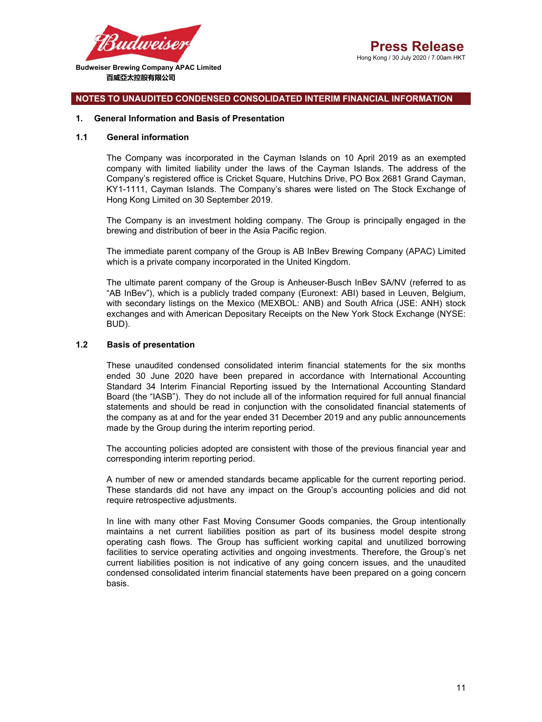

#### **NOTES TO UNAUDITED CONDENSED CONSOLIDATED INTERIM FINANCIAL INFORMATION**

#### **1. General Information and Basis of Presentation**

#### **1.1 General information**

The Company was incorporated in the Cayman Islands on 10 April 2019 as an exempted company with limited liability under the laws of the Cayman Islands. The address of the Company's registered office is Cricket Square, Hutchins Drive, PO Box 2681 Grand Cayman, KY1-1111, Cayman Islands. The Company's shares were listed on The Stock Exchange of Hong Kong Limited on 30 September 2019.

The Company is an investment holding company. The Group is principally engaged in the brewing and distribution of beer in the Asia Pacific region.

The immediate parent company of the Group is AB InBev Brewing Company (APAC) Limited which is a private company incorporated in the United Kingdom.

The ultimate parent company of the Group is Anheuser-Busch InBev SA/NV (referred to as "AB InBev"), which is a publicly traded company (Euronext: ABI) based in Leuven, Belgium, with secondary listings on the Mexico (MEXBOL: ANB) and South Africa (JSE: ANH) stock exchanges and with American Depositary Receipts on the New York Stock Exchange (NYSE: BUD).

#### **1.2 Basis of presentation**

These unaudited condensed consolidated interim financial statements for the six months ended 30 June 2020 have been prepared in accordance with International Accounting Standard 34 Interim Financial Reporting issued by the International Accounting Standard Board (the "IASB"). They do not include all of the information required for full annual financial statements and should be read in conjunction with the consolidated financial statements of the company as at and for the year ended 31 December 2019 and any public announcements made by the Group during the interim reporting period.

The accounting policies adopted are consistent with those of the previous financial year and corresponding interim reporting period.

A number of new or amended standards became applicable for the current reporting period. These standards did not have any impact on the Group's accounting policies and did not require retrospective adjustments.

In line with many other Fast Moving Consumer Goods companies, the Group intentionally maintains a net current liabilities position as part of its business model despite strong operating cash flows. The Group has sufficient working capital and unutilized borrowing facilities to service operating activities and ongoing investments. Therefore, the Group's net current liabilities position is not indicative of any going concern issues, and the unaudited condensed consolidated interim financial statements have been prepared on a going concern basis.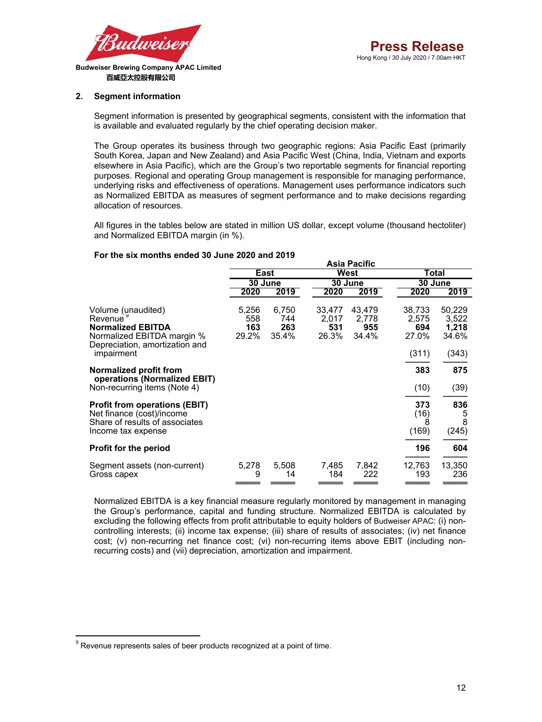

#### **2. Segment information**

Segment information is presented by geographical segments, consistent with the information that is available and evaluated regularly by the chief operating decision maker.

The Group operates its business through two geographic regions: Asia Pacific East (primarily South Korea, Japan and New Zealand) and Asia Pacific West (China, India, Vietnam and exports elsewhere in Asia Pacific), which are the Group's two reportable segments for financial reporting purposes. Regional and operating Group management is responsible for managing performance, underlying risks and effectiveness of operations. Management uses performance indicators such as Normalized EBITDA as measures of segment performance and to make decisions regarding allocation of resources.

All figures in the tables below are stated in million US dollar, except volume (thousand hectoliter) and Normalized EBITDA margin (in %).

#### **For the six months ended 30 June 2020 and 2019**

|                                                                                                                                         |                              |                              |                                 | Asia Pacific                    |                                          |                                            |
|-----------------------------------------------------------------------------------------------------------------------------------------|------------------------------|------------------------------|---------------------------------|---------------------------------|------------------------------------------|--------------------------------------------|
|                                                                                                                                         |                              | East                         |                                 | West                            | Total                                    |                                            |
|                                                                                                                                         |                              | 30 June                      |                                 | 30 June                         | 30 June                                  |                                            |
|                                                                                                                                         | 2020                         | 2019                         | 2020                            | 2019                            | 2020                                     | 2019                                       |
| Volume (unaudited)<br>Revenue<br><b>Normalized EBITDA</b><br>Normalized EBITDA margin %<br>Depreciation, amortization and<br>impairment | 5,256<br>558<br>163<br>29.2% | 6,750<br>744<br>263<br>35.4% | 33,477<br>2,017<br>531<br>26.3% | 43,479<br>2,778<br>955<br>34.4% | 38,733<br>2,575<br>694<br>27.0%<br>(311) | 50,229<br>3,522<br>1,218<br>34.6%<br>(343) |
| Normalized profit from<br>operations (Normalized EBIT)<br>Non-recurring items (Note 4)                                                  |                              |                              |                                 |                                 | 383<br>(10)                              | 875<br>(39)                                |
| <b>Profit from operations (EBIT)</b><br>Net finance (cost)/income<br>Share of results of associates<br>Income tax expense               |                              |                              |                                 |                                 | 373<br>(16)<br>8<br>(169)                | 836<br>5<br>8<br>(245)                     |
| <b>Profit for the period</b>                                                                                                            |                              |                              |                                 |                                 | 196                                      | 604                                        |
| Segment assets (non-current)<br>Gross capex                                                                                             | 5,278<br>9                   | 5,508<br>14                  | 7,485<br>184                    | 7,842<br>222                    | 12,763<br>193                            | 13,350<br>236                              |

Normalized EBITDA is a key financial measure regularly monitored by management in managing the Group's performance, capital and funding structure. Normalized EBITDA is calculated by excluding the following effects from profit attributable to equity holders of Budweiser APAC: (i) noncontrolling interests; (ii) income tax expense; (iii) share of results of associates; (iv) net finance cost; (v) non-recurring net finance cost; (vi) non-recurring items above EBIT (including nonrecurring costs) and (vii) depreciation, amortization and impairment.

-

 $9^9$  Revenue represents sales of beer products recognized at a point of time.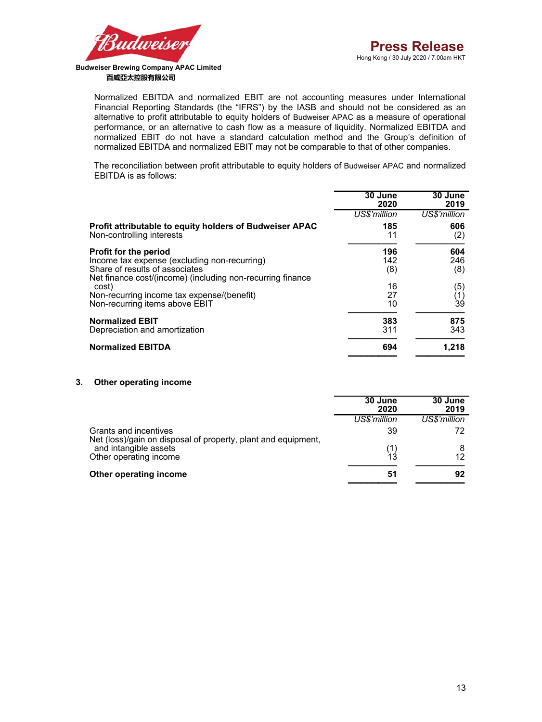

Normalized EBITDA and normalized EBIT are not accounting measures under International Financial Reporting Standards (the "IFRS") by the IASB and should not be considered as an alternative to profit attributable to equity holders of Budweiser APAC as a measure of operational performance, or an alternative to cash flow as a measure of liquidity. Normalized EBITDA and normalized EBIT do not have a standard calculation method and the Group's definition of normalized EBITDA and normalized EBIT may not be comparable to that of other companies.

The reconciliation between profit attributable to equity holders of Budweiser APAC and normalized EBITDA is as follows:

|                                                                                      | 30 June<br>2020 | 30 June<br>2019 |
|--------------------------------------------------------------------------------------|-----------------|-----------------|
|                                                                                      | US\$'million    | US\$'million    |
| Profit attributable to equity holders of Budweiser APAC<br>Non-controlling interests | 185<br>11       | 606<br>(2)      |
| <b>Profit for the period</b>                                                         | 196             | 604             |
| Income tax expense (excluding non-recurring)                                         | 142             | 246             |
| Share of results of associates                                                       | (8)             | (8)             |
| Net finance cost/(income) (including non-recurring finance                           |                 |                 |
| cost)                                                                                | 16              | (5)             |
| Non-recurring income tax expense/(benefit)                                           | 27              | (1)             |
| Non-recurring items above EBIT                                                       | 10              | 39              |
| <b>Normalized EBIT</b>                                                               | 383             | 875             |
| Depreciation and amortization                                                        | 311             | 343             |
| <b>Normalized EBITDA</b>                                                             | 694             | 1,218           |

#### **3. Other operating income**

|                                                                                        | 30 June<br>2020 | 30 June<br>2019 |
|----------------------------------------------------------------------------------------|-----------------|-----------------|
|                                                                                        | US\$'million    | US\$'million    |
| Grants and incentives<br>Net (loss)/gain on disposal of property, plant and equipment, | 39              | 72              |
| and intangible assets<br>Other operating income                                        | 13              |                 |
| Other operating income                                                                 | 51              | 92              |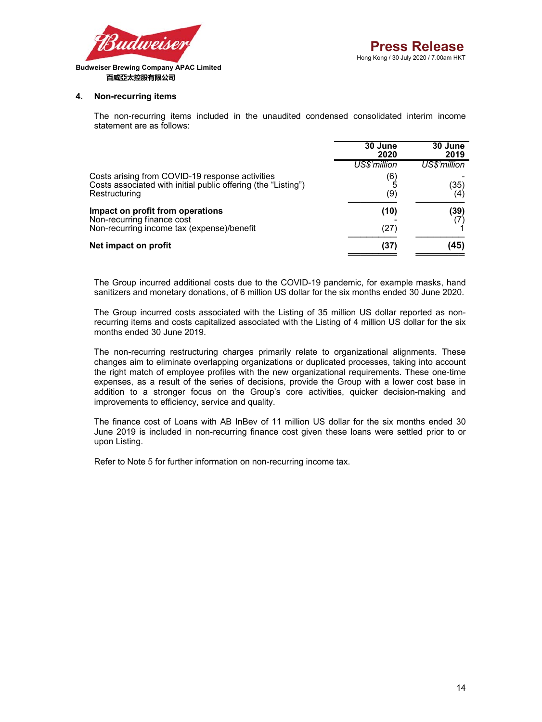

#### **4. Non-recurring items**

The non-recurring items included in the unaudited condensed consolidated interim income statement are as follows:

|                                                                                                                                   | 30 June<br>2020       | 30 June<br>2019 |
|-----------------------------------------------------------------------------------------------------------------------------------|-----------------------|-----------------|
|                                                                                                                                   | US\$'million          | US\$'million    |
| Costs arising from COVID-19 response activities<br>Costs associated with initial public offering (the "Listing")<br>Restructuring | $\binom{6}{5}$<br>(9) | (35)<br>(4)     |
| Impact on profit from operations<br>Non-recurring finance cost<br>Non-recurring income tax (expense)/benefit                      | (10)<br>(27)          | (39)            |
| Net impact on profit                                                                                                              | (37)                  | (45)            |

The Group incurred additional costs due to the COVID-19 pandemic, for example masks, hand sanitizers and monetary donations, of 6 million US dollar for the six months ended 30 June 2020.

The Group incurred costs associated with the Listing of 35 million US dollar reported as nonrecurring items and costs capitalized associated with the Listing of 4 million US dollar for the six months ended 30 June 2019.

The non-recurring restructuring charges primarily relate to organizational alignments. These changes aim to eliminate overlapping organizations or duplicated processes, taking into account the right match of employee profiles with the new organizational requirements. These one-time expenses, as a result of the series of decisions, provide the Group with a lower cost base in addition to a stronger focus on the Group's core activities, quicker decision-making and improvements to efficiency, service and quality.

The finance cost of Loans with AB InBev of 11 million US dollar for the six months ended 30 June 2019 is included in non-recurring finance cost given these loans were settled prior to or upon Listing.

Refer to Note 5 for further information on non-recurring income tax.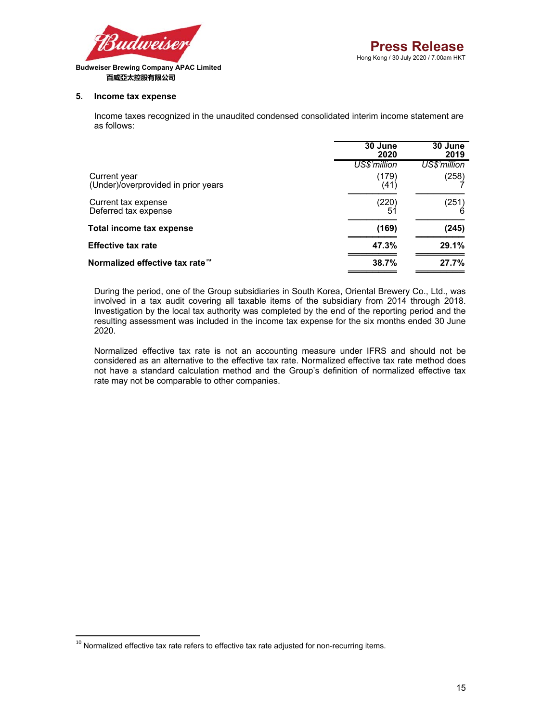

# **百威亞太控股有限公司**

#### **5. Income tax expense**

Income taxes recognized in the unaudited condensed consolidated interim income statement are as follows:

|                                                     | 30 June<br>2020 | 30 June<br>2019 |
|-----------------------------------------------------|-----------------|-----------------|
|                                                     | US\$'million    | US\$'million    |
| Current year<br>(Under)/overprovided in prior years | (179)<br>(41)   | (258)           |
| Current tax expense<br>Deferred tax expense         | (220<br>51      | (251)           |
| Total income tax expense                            | (169)           | (245)           |
| <b>Effective tax rate</b>                           | 47.3%           | 29.1%           |
| Normalized effective tax rate <sup>10</sup>         | 38.7%           | 27.7%           |

During the period, one of the Group subsidiaries in South Korea, Oriental Brewery Co., Ltd., was involved in a tax audit covering all taxable items of the subsidiary from 2014 through 2018. Investigation by the local tax authority was completed by the end of the reporting period and the resulting assessment was included in the income tax expense for the six months ended 30 June 2020.

Normalized effective tax rate is not an accounting measure under IFRS and should not be considered as an alternative to the effective tax rate. Normalized effective tax rate method does not have a standard calculation method and the Group's definition of normalized effective tax rate may not be comparable to other companies.

-

 $^{\rm 10}$  Normalized effective tax rate refers to effective tax rate adjusted for non-recurring items.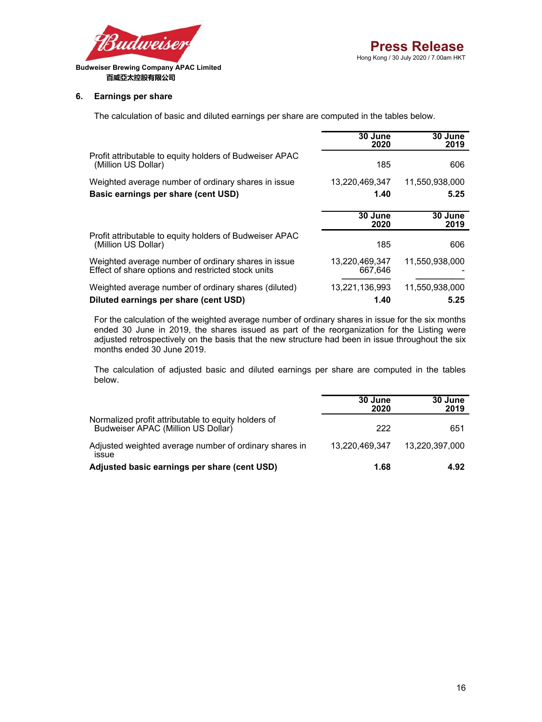

## **6. Earnings per share**

The calculation of basic and diluted earnings per share are computed in the tables below.

|                                                                                                           | 30 June<br>2020           | 30 June<br>2019 |
|-----------------------------------------------------------------------------------------------------------|---------------------------|-----------------|
| Profit attributable to equity holders of Budweiser APAC<br>(Million US Dollar)                            | 185                       | 606             |
| Weighted average number of ordinary shares in issue                                                       | 13,220,469,347            | 11,550,938,000  |
| Basic earnings per share (cent USD)                                                                       | 1.40                      | 5.25            |
|                                                                                                           |                           |                 |
|                                                                                                           | 30 June<br>2020           | 30 June<br>2019 |
| Profit attributable to equity holders of Budweiser APAC<br>(Million US Dollar)                            | 185                       | 606             |
| Weighted average number of ordinary shares in issue<br>Effect of share options and restricted stock units | 13,220,469,347<br>667,646 | 11,550,938,000  |
| Weighted average number of ordinary shares (diluted)                                                      | 13.221.136.993            | 11.550.938.000  |
| Diluted earnings per share (cent USD)                                                                     | 1.40                      | 5.25            |

For the calculation of the weighted average number of ordinary shares in issue for the six months ended 30 June in 2019, the shares issued as part of the reorganization for the Listing were adjusted retrospectively on the basis that the new structure had been in issue throughout the six months ended 30 June 2019.

The calculation of adjusted basic and diluted earnings per share are computed in the tables below.

|                                                                                           | 30 June<br>2020 | 30 June<br>2019 |
|-------------------------------------------------------------------------------------------|-----------------|-----------------|
| Normalized profit attributable to equity holders of<br>Budweiser APAC (Million US Dollar) | 222             | 651             |
| Adjusted weighted average number of ordinary shares in<br><b>issue</b>                    | 13,220,469,347  | 13,220,397,000  |
| Adjusted basic earnings per share (cent USD)                                              | 1.68            | 4.92            |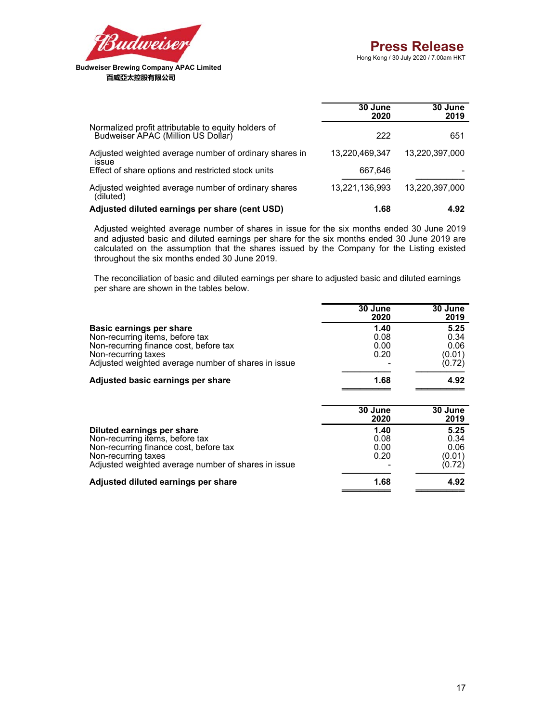**════════ ════════**



|                                                                                           | 30 June<br>2020 | 30 June<br>2019 |
|-------------------------------------------------------------------------------------------|-----------------|-----------------|
| Normalized profit attributable to equity holders of<br>Budweiser APAC (Million US Dollar) | 222             | 651             |
| Adjusted weighted average number of ordinary shares in<br><b>ISSUE</b>                    | 13,220,469,347  | 13,220,397,000  |
| Effect of share options and restricted stock units                                        | 667,646         |                 |
| Adjusted weighted average number of ordinary shares<br>(diluted)                          | 13,221,136,993  | 13,220,397,000  |
| Adjusted diluted earnings per share (cent USD)                                            | 1.68            | 4.92            |

Adjusted weighted average number of shares in issue for the six months ended 30 June 2019 and adjusted basic and diluted earnings per share for the six months ended 30 June 2019 are calculated on the assumption that the shares issued by the Company for the Listing existed throughout the six months ended 30 June 2019.

The reconciliation of basic and diluted earnings per share to adjusted basic and diluted earnings per share are shown in the tables below.

|                                                     | 30 June<br>2020 | 30 June<br>2019 |
|-----------------------------------------------------|-----------------|-----------------|
| Basic earnings per share                            | 1.40            | 5.25            |
| Non-recurring items, before tax                     | 0.08            | 0.34            |
| Non-recurring finance cost, before tax              | 0.00            | 0.06            |
| Non-recurring taxes                                 | 0.20            | (0.01)          |
| Adjusted weighted average number of shares in issue |                 | (0.72)          |
| Adjusted basic earnings per share                   | 1.68            | 4.92            |

|                                                     | 30 June<br>2020 | 30 June<br>2019 |
|-----------------------------------------------------|-----------------|-----------------|
| Diluted earnings per share                          | 1.40            | 5.25            |
| Non-recurring items, before tax                     | 0.08            | 0.34            |
| Non-recurring finance cost, before tax              | 0.00            | 0.06            |
| Non-recurring taxes                                 | 0.20            | (0.01)          |
| Adjusted weighted average number of shares in issue |                 | (0.72)          |
| Adjusted diluted earnings per share                 | 1.68            | 4.92            |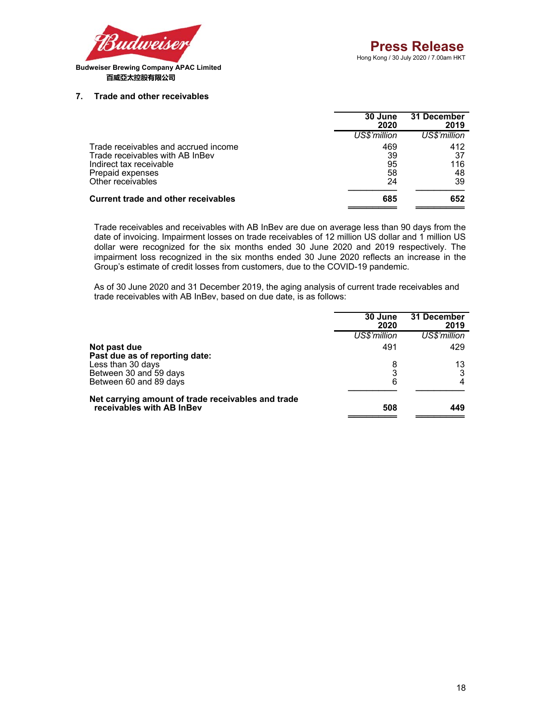

#### **7. Trade and other receivables**

|                                                                                                                                             | 30 June<br>2020             | 31 December<br>2019          |
|---------------------------------------------------------------------------------------------------------------------------------------------|-----------------------------|------------------------------|
|                                                                                                                                             | US\$'million                | US\$'million                 |
| Trade receivables and accrued income<br>Trade receivables with AB InBev<br>Indirect tax receivable<br>Prepaid expenses<br>Other receivables | 469<br>39<br>95<br>58<br>24 | 412<br>37<br>116<br>48<br>39 |
| <b>Current trade and other receivables</b>                                                                                                  | 685                         | 652                          |

Trade receivables and receivables with AB InBev are due on average less than 90 days from the date of invoicing. Impairment losses on trade receivables of 12 million US dollar and 1 million US dollar were recognized for the six months ended 30 June 2020 and 2019 respectively. The impairment loss recognized in the six months ended 30 June 2020 reflects an increase in the Group's estimate of credit losses from customers, due to the COVID-19 pandemic.

As of 30 June 2020 and 31 December 2019, the aging analysis of current trade receivables and trade receivables with AB InBev, based on due date, is as follows:

|                                                                                 | 30 June<br>2020 | 31 December<br>2019 |
|---------------------------------------------------------------------------------|-----------------|---------------------|
|                                                                                 | US\$'million    | US\$'million        |
| Not past due<br>Past due as of reporting date:                                  | 491             | 429                 |
| Less than 30 days<br>Between 30 and 59 days                                     | 8<br>3          | 13                  |
| Between 60 and 89 days                                                          | 6               |                     |
| Net carrying amount of trade receivables and trade<br>receivables with AB InBev | 508             | 449                 |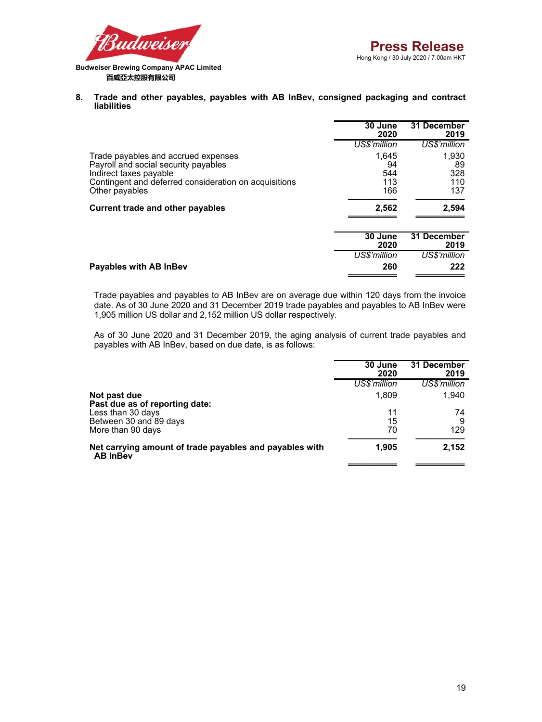════════ ════════



**8. Trade and other payables, payables with AB InBev, consigned packaging and contract liabilities** 

|                                                                                                                                                                                  | 30 June<br>2020<br>US\$'million  | 31 December<br>2019<br>US\$'million |
|----------------------------------------------------------------------------------------------------------------------------------------------------------------------------------|----------------------------------|-------------------------------------|
| Trade payables and accrued expenses<br>Payroll and social security payables<br>Indirect taxes payable<br>Contingent and deferred consideration on acquisitions<br>Other payables | 1.645<br>94<br>544<br>113<br>166 | 1,930<br>89<br>328<br>110<br>137    |
| <b>Current trade and other payables</b>                                                                                                                                          | 2,562                            | 2,594                               |

| 30 June<br>2020 | 31 December<br>2019 |
|-----------------|---------------------|
| US\$'million    | US\$'million        |
| 260             | 222                 |
|                 |                     |

Trade payables and payables to AB InBev are on average due within 120 days from the invoice date. As of 30 June 2020 and 31 December 2019 trade payables and payables to AB InBev were 1,905 million US dollar and 2,152 million US dollar respectively.

As of 30 June 2020 and 31 December 2019, the aging analysis of current trade payables and payables with AB InBev, based on due date, is as follows:

|                                                                            | 30 June<br>2020 | 31 December<br>2019 |
|----------------------------------------------------------------------------|-----------------|---------------------|
|                                                                            | US\$'million    | US\$'million        |
| Not past due<br>Past due as of reporting date:                             | 1,809           | 1.940               |
| Less than 30 days                                                          | 11              | 74                  |
| Between 30 and 89 days                                                     | 15              | 9                   |
| More than 90 days                                                          | 70              | 129                 |
| Net carrying amount of trade payables and payables with<br><b>AB InBev</b> | 1,905           | 2,152               |
|                                                                            |                 |                     |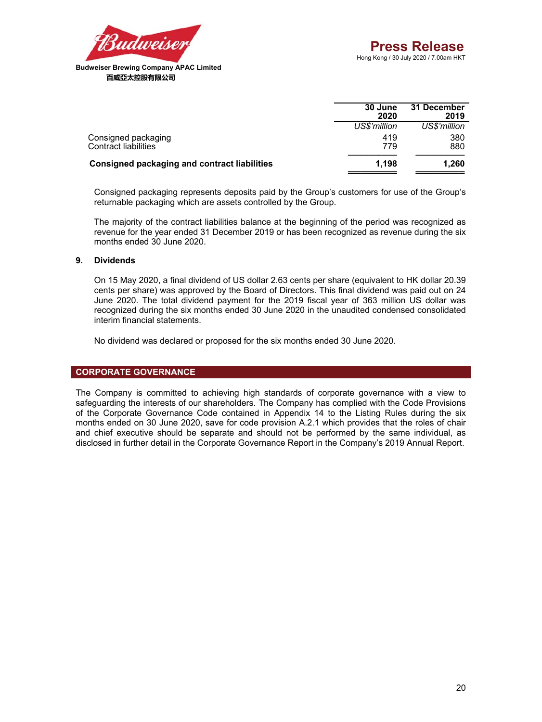

|                                                    | 30 June<br>2020 | 31 December<br>2019 |
|----------------------------------------------------|-----------------|---------------------|
|                                                    | US\$'million    | US\$'million        |
| Consigned packaging<br><b>Contract liabilities</b> | 419<br>779      | 380<br>880          |
| Consigned packaging and contract liabilities       | 1.198           | 1.260               |

Consigned packaging represents deposits paid by the Group's customers for use of the Group's returnable packaging which are assets controlled by the Group.

The majority of the contract liabilities balance at the beginning of the period was recognized as revenue for the year ended 31 December 2019 or has been recognized as revenue during the six months ended 30 June 2020.

#### **9. Dividends**

On 15 May 2020, a final dividend of US dollar 2.63 cents per share (equivalent to HK dollar 20.39 cents per share) was approved by the Board of Directors. This final dividend was paid out on 24 June 2020. The total dividend payment for the 2019 fiscal year of 363 million US dollar was recognized during the six months ended 30 June 2020 in the unaudited condensed consolidated interim financial statements.

No dividend was declared or proposed for the six months ended 30 June 2020.

#### **CORPORATE GOVERNANCE**

The Company is committed to achieving high standards of corporate governance with a view to safeguarding the interests of our shareholders. The Company has complied with the Code Provisions of the Corporate Governance Code contained in Appendix 14 to the Listing Rules during the six months ended on 30 June 2020, save for code provision A.2.1 which provides that the roles of chair and chief executive should be separate and should not be performed by the same individual, as disclosed in further detail in the Corporate Governance Report in the Company's 2019 Annual Report.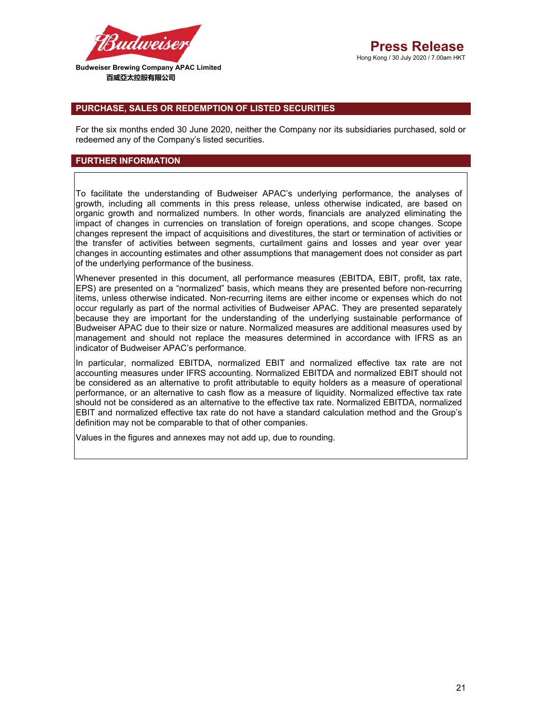

#### **PURCHASE, SALES OR REDEMPTION OF LISTED SECURITIES**

For the six months ended 30 June 2020, neither the Company nor its subsidiaries purchased, sold or redeemed any of the Company's listed securities.

#### **FURTHER INFORMATION**

To facilitate the understanding of Budweiser APAC's underlying performance, the analyses of growth, including all comments in this press release, unless otherwise indicated, are based on organic growth and normalized numbers. In other words, financials are analyzed eliminating the impact of changes in currencies on translation of foreign operations, and scope changes. Scope changes represent the impact of acquisitions and divestitures, the start or termination of activities or the transfer of activities between segments, curtailment gains and losses and year over year changes in accounting estimates and other assumptions that management does not consider as part of the underlying performance of the business.

Whenever presented in this document, all performance measures (EBITDA, EBIT, profit, tax rate, EPS) are presented on a "normalized" basis, which means they are presented before non-recurring items, unless otherwise indicated. Non-recurring items are either income or expenses which do not occur regularly as part of the normal activities of Budweiser APAC. They are presented separately because they are important for the understanding of the underlying sustainable performance of Budweiser APAC due to their size or nature. Normalized measures are additional measures used by management and should not replace the measures determined in accordance with IFRS as an indicator of Budweiser APAC's performance.

In particular, normalized EBITDA, normalized EBIT and normalized effective tax rate are not accounting measures under IFRS accounting. Normalized EBITDA and normalized EBIT should not be considered as an alternative to profit attributable to equity holders as a measure of operational performance, or an alternative to cash flow as a measure of liquidity. Normalized effective tax rate should not be considered as an alternative to the effective tax rate. Normalized EBITDA, normalized EBIT and normalized effective tax rate do not have a standard calculation method and the Group's definition may not be comparable to that of other companies.

Values in the figures and annexes may not add up, due to rounding.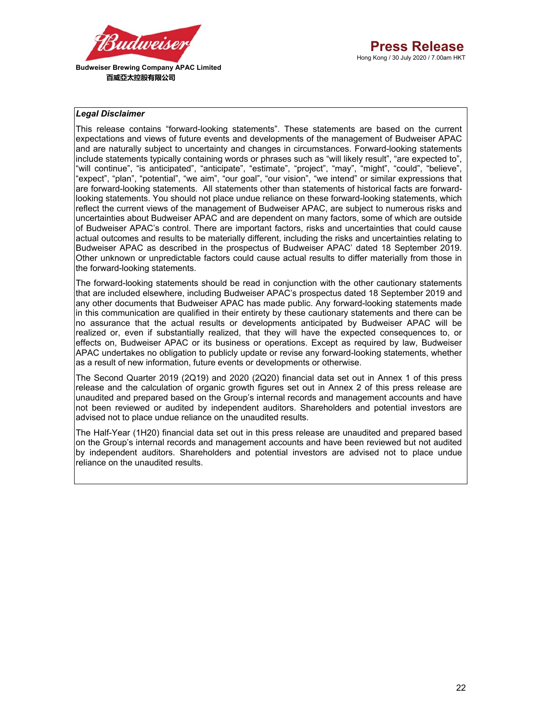

#### *Legal Disclaimer*

This release contains "forward-looking statements". These statements are based on the current expectations and views of future events and developments of the management of Budweiser APAC and are naturally subject to uncertainty and changes in circumstances. Forward-looking statements include statements typically containing words or phrases such as "will likely result", "are expected to", "will continue", "is anticipated", "anticipate", "estimate", "project", "may", "might", "could", "believe", "expect", "plan", "potential", "we aim", "our goal", "our vision", "we intend" or similar expressions that are forward-looking statements. All statements other than statements of historical facts are forwardlooking statements. You should not place undue reliance on these forward-looking statements, which reflect the current views of the management of Budweiser APAC, are subject to numerous risks and uncertainties about Budweiser APAC and are dependent on many factors, some of which are outside of Budweiser APAC's control. There are important factors, risks and uncertainties that could cause actual outcomes and results to be materially different, including the risks and uncertainties relating to Budweiser APAC as described in the prospectus of Budweiser APAC' dated 18 September 2019. Other unknown or unpredictable factors could cause actual results to differ materially from those in the forward-looking statements.

The forward-looking statements should be read in conjunction with the other cautionary statements that are included elsewhere, including Budweiser APAC's prospectus dated 18 September 2019 and any other documents that Budweiser APAC has made public. Any forward-looking statements made in this communication are qualified in their entirety by these cautionary statements and there can be no assurance that the actual results or developments anticipated by Budweiser APAC will be realized or, even if substantially realized, that they will have the expected consequences to, or effects on, Budweiser APAC or its business or operations. Except as required by law, Budweiser APAC undertakes no obligation to publicly update or revise any forward-looking statements, whether as a result of new information, future events or developments or otherwise.

The Second Quarter 2019 (2Q19) and 2020 (2Q20) financial data set out in Annex 1 of this press release and the calculation of organic growth figures set out in Annex 2 of this press release are unaudited and prepared based on the Group's internal records and management accounts and have not been reviewed or audited by independent auditors. Shareholders and potential investors are advised not to place undue reliance on the unaudited results.

The Half-Year (1H20) financial data set out in this press release are unaudited and prepared based on the Group's internal records and management accounts and have been reviewed but not audited by independent auditors. Shareholders and potential investors are advised not to place undue reliance on the unaudited results.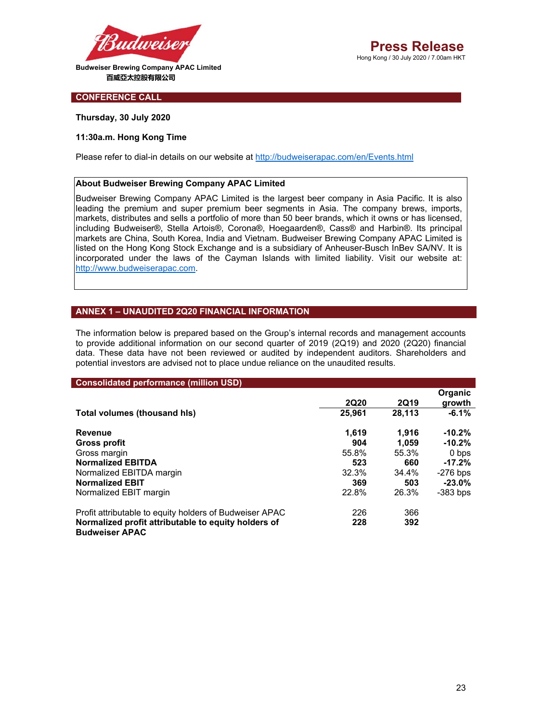

#### **CONFERENCE CALL**

**Thursday, 30 July 2020** 

#### **11:30a.m. Hong Kong Time**

Please refer to dial-in details on our website at http://budweiserapac.com/en/Events.html

#### **About Budweiser Brewing Company APAC Limited**

Budweiser Brewing Company APAC Limited is the largest beer company in Asia Pacific. It is also leading the premium and super premium beer segments in Asia. The company brews, imports, markets, distributes and sells a portfolio of more than 50 beer brands, which it owns or has licensed, including Budweiser®, Stella Artois®, Corona®, Hoegaarden®, Cass® and Harbin®. Its principal markets are China, South Korea, India and Vietnam. Budweiser Brewing Company APAC Limited is listed on the Hong Kong Stock Exchange and is a subsidiary of Anheuser-Busch InBev SA/NV. It is incorporated under the laws of the Cayman Islands with limited liability. Visit our website at: http://www.budweiserapac.com.

#### **ANNEX 1 – UNAUDITED 2Q20 FINANCIAL INFORMATION**

The information below is prepared based on the Group's internal records and management accounts to provide additional information on our second quarter of 2019 (2Q19) and 2020 (2Q20) financial data. These data have not been reviewed or audited by independent auditors. Shareholders and potential investors are advised not to place undue reliance on the unaudited results.

| <b>Consolidated performance (million USD)</b>                                |             |             |                   |
|------------------------------------------------------------------------------|-------------|-------------|-------------------|
|                                                                              | <b>2Q20</b> | <b>2Q19</b> | Organic<br>growth |
| Total volumes (thousand his)                                                 | 25,961      | 28,113      | $-6.1%$           |
| <b>Revenue</b>                                                               | 1.619       | 1.916       | $-10.2%$          |
| <b>Gross profit</b>                                                          | 904         | 1.059       | $-10.2%$          |
| Gross margin                                                                 | 55.8%       | 55.3%       | 0 bps             |
| <b>Normalized EBITDA</b>                                                     | 523         | 660         | $-17.2%$          |
| Normalized EBITDA margin                                                     | 32.3%       | 34.4%       | $-276$ bps        |
| <b>Normalized EBIT</b>                                                       | 369         | 503         | $-23.0%$          |
| Normalized EBIT margin                                                       | 22.8%       | 26.3%       | $-383$ bps        |
| Profit attributable to equity holders of Budweiser APAC                      | 226         | 366         |                   |
| Normalized profit attributable to equity holders of<br><b>Budweiser APAC</b> | 228         | 392         |                   |